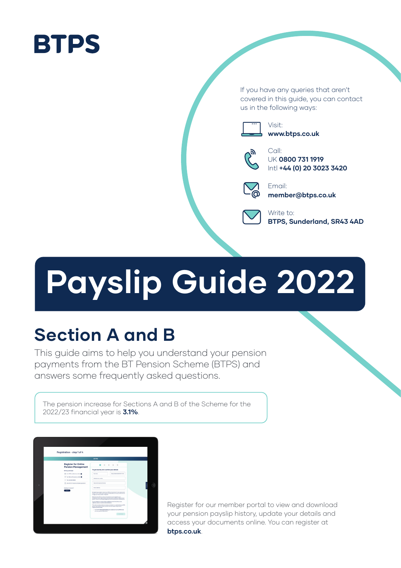# **BTPS**

If you have any queries that aren't covered in this guide, you can contact us in the following ways:



Visit: **www.btps.co.uk**



Call: UK **0800 731 1919** Intl **+44 (0) 20 3023 3420**



Email: **member@btps.co.uk**



Write to: **BTPS, Sunderland, SR43 4AD**

# **Payslip Guide 2022**

# **Section A and B**

This guide aims to help you understand your pension payments from the BT Pension Scheme (BTPS) and answers some frequently asked questions.

The pension increase for Sections A and B of the Scheme for the 2022/23 financial year is **3.1%**.



Register for our member portal to view and download your pension payslip history, update your details and access your documents online. You can register at **btps.co.uk**.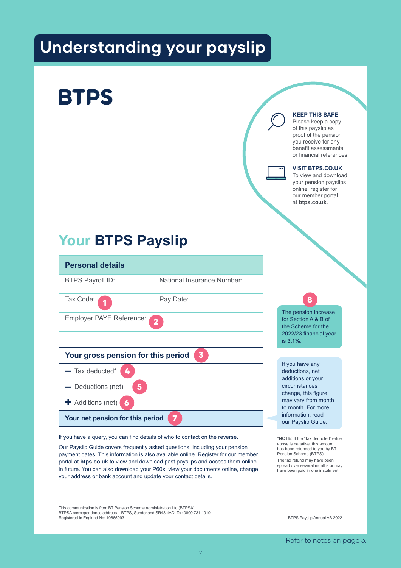# **Understanding your payslip**

# **BTPS**

#### **KEEP THIS SAFE**

Please keep a copy of this payslip as proof of the pension you receive for any benefit assessments or financial references.

#### **VISIT BTPS.CO.UK**

To view and download your pension payslips online, register for our member portal at **btps.co.uk**.

# **Your BTPS Payslip**



If you have a query, you can find details of who to contact on the reverse.

Our Payslip Guide covers frequently asked questions, including your pension payment dates. This information is also available online. Register for our member portal at **btps.co.uk** to view and download past payslips and access them online in future. You can also download your P60s, view your documents online, change your address or bank account and update your contact details.

This communication is from BT Pension Scheme Administration Ltd (BTPSA) BTPSA correspondence address – BTPS, Sunderland SR43 4AD. Tel: 0800 731 1919. Registered in England No: 10665093

BTPS Payslip Annual AB 2022

**\*NOTE**: If the 'Tax deducted' value above is negative, this amount has been refunded to you by BT Pension Scheme (BTPS). The tax refund may have been spread over several months or may have been paid in one instalment.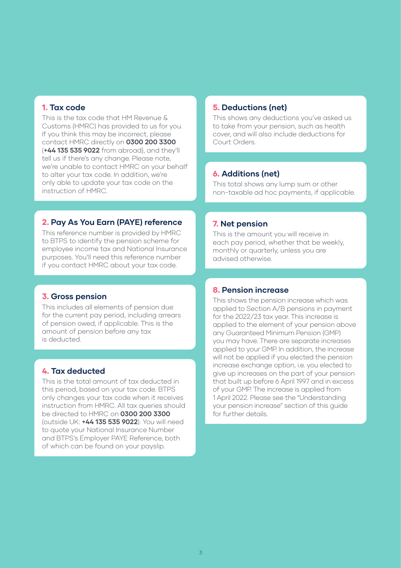#### 1. **Tax code**

This is the tax code that HM Revenue & Customs (HMRC) has provided to us for you. If you think this may be incorrect, please contact HMRC directly on **0300 200 3300** (**+44 135 535 9022** from abroad), and they'll tell us if there's any change. Please note, we're unable to contact HMRC on your behalf to alter your tax code. In addition, we're only able to update your tax code on the instruction of HMRC.

#### 2. **Pay As You Earn (PAYE) reference**

This reference number is provided by HMRC to BTPS to identify the pension scheme for employee income tax and National Insurance purposes. You'll need this reference number if you contact HMRC about your tax code.

#### 3. **Gross pension**

This includes all elements of pension due for the current pay period, including arrears of pension owed, if applicable. This is the amount of pension before any tax is deducted.

#### 4. **Tax deducted**

This is the total amount of tax deducted in this period, based on your tax code. BTPS only changes your tax code when it receives instruction from HMRC. All tax queries should be directed to HMRC on **0300 200 3300**  (outside UK: **+44 135 535 9022**). You will need to quote your National Insurance Number and BTPS's Employer PAYE Reference, both of which can be found on your payslip.

#### 5. **Deductions (net)**

This shows any deductions you've asked us to take from your pension, such as health cover, and will also include deductions for Court Orders.

#### 6. **Additions (net)**

This total shows any lump sum or other non-taxable ad hoc payments, if applicable.

#### 7. **Net pension**

This is the amount you will receive in each pay period, whether that be weekly, monthly or quarterly, unless you are advised otherwise.

#### 8. **Pension increase**

This shows the pension increase which was applied to Section A/B pensions in payment for the 2022/23 tax year. This increase is applied to the element of your pension above any Guaranteed Minimum Pension (GMP) you may have. There are separate increases applied to your GMP. In addition, the increase will not be applied if you elected the pension increase exchange option, i.e. you elected to give up increases on the part of your pension that built up before 6 April 1997 and in excess of your GMP. The increase is applied from 1 April 2022. Please see the "Understanding your pension increase" section of this guide for further details.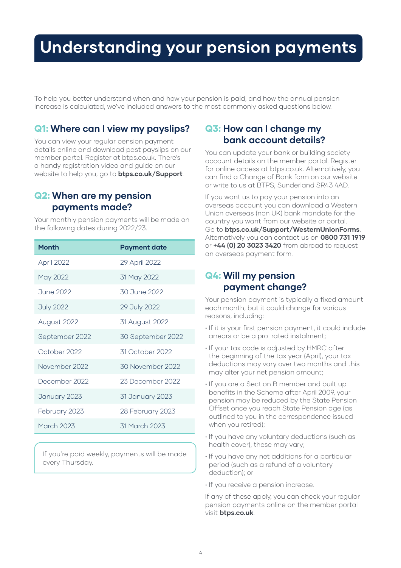# **Understanding your pension payments**

To help you better understand when and how your pension is paid, and how the annual pension increase is calculated, we've included answers to the most commonly asked questions below.

### Q1: **Where can I view my payslips?**

You can view your regular pension payment details online and download past payslips on our member portal. Register at btps.co.uk. There's a handy registration video and guide on our website to help you, go to **btps.co.uk/Support**.

Your monthly pension payments will be made on

### Q2: **When are my pension payments made?**

the following dates during 2022/23.

| <b>Month</b>     | <b>Payment date</b> |
|------------------|---------------------|
| April 2022       | 29 April 2022       |
| May 2022         | 31 May 2022         |
| <b>June 2022</b> | 30 June 2022        |
| <b>July 2022</b> | 29 July 2022        |
| August 2022      | 31 August 2022      |
| September 2022   | 30 September 2022   |
| October 2022     | 31 October 2022     |
| November 2022    | 30 November 2022    |
| December 2022    | 23 December 2022    |
| January 2023     | 31 January 2023     |
| February 2023    | 28 February 2023    |
| March 2023       | 31 March 2023       |

If you're paid weekly, payments will be made every Thursday.

### Q3: **How can I change my bank account details?**

You can update your bank or building society account details on the member portal. Register for online access at btps.co.uk. Alternatively, you can find a Change of Bank form on our website or write to us at BTPS, Sunderland SR43 4AD.

If you want us to pay your pension into an overseas account you can download a Western Union overseas (non UK) bank mandate for the country you want from our website or portal. Go to **btps.co.uk/Support/WesternUnionForms**. Alternatively you can contact us on **0800 731 1919** or **+44 (0) 20 3023 3420** from abroad to request an overseas payment form.

### Q4: **Will my pension payment change?**

Your pension payment is typically a fixed amount each month, but it could change for various reasons, including:

- If it is your first pension payment, it could include arrears or be a pro-rated instalment;
- If your tax code is adjusted by HMRC after the beginning of the tax year (April), your tax deductions may vary over two months and this may alter your net pension amount;
- If you are a Section B member and built up benefits in the Scheme after April 2009, your pension may be reduced by the State Pension Offset once you reach State Pension age (as outlined to you in the correspondence issued when you retired);
- If you have any voluntary deductions (such as health cover), these may vary;
- If you have any net additions for a particular period (such as a refund of a voluntary deduction); or
- If you receive a pension increase.

If any of these apply, you can check your regular pension payments online on the member portal visit **btps.co.uk**.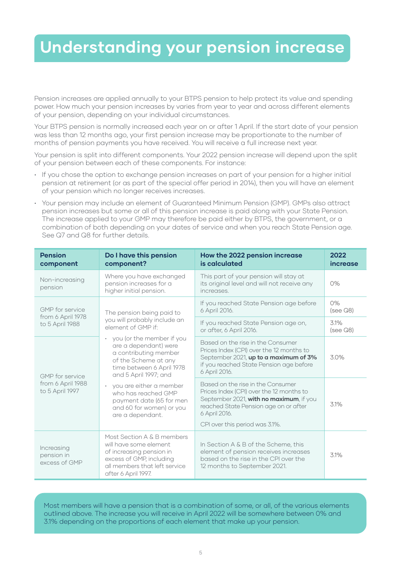# **Understanding your pension increase**

Pension increases are applied annually to your BTPS pension to help protect its value and spending power. How much your pension increases by varies from year to year and across different elements of your pension, depending on your individual circumstances.

Your BTPS pension is normally increased each year on or after 1 April. If the start date of your pension was less than 12 months ago, your first pension increase may be proportionate to the number of months of pension payments you have received. You will receive a full increase next year.

Your pension is split into different components. Your 2022 pension increase will depend upon the split of your pension between each of these components. For instance:

- If you chose the option to exchange pension increases on part of your pension for a higher initial pension at retirement (or as part of the special offer period in 2014), then you will have an element of your pension which no longer receives increases.
- Your pension may include an element of Guaranteed Minimum Pension (GMP). GMPs also attract pension increases but some or all of this pension increase is paid along with your State Pension. The increase applied to your GMP may therefore be paid either by BTPS, the government, or a combination of both depending on your dates of service and when you reach State Pension age. See Q7 and Q8 for further details.

| <b>Pension</b><br>component                                    | Do I have this pension<br>component?                                                                                                                                 | How the 2022 pension increase<br>is calculated                                                                                                                                                                       | 2022<br>increase      |
|----------------------------------------------------------------|----------------------------------------------------------------------------------------------------------------------------------------------------------------------|----------------------------------------------------------------------------------------------------------------------------------------------------------------------------------------------------------------------|-----------------------|
| Non-increasing<br>pension                                      | Where you have exchanged<br>pension increases for a<br>higher initial pension.                                                                                       | This part of your pension will stay at<br>its original level and will not receive any<br>increases.                                                                                                                  | 0%                    |
| <b>GMP</b> for service<br>from 6 April 1978<br>to 5 April 1988 | The pension being paid to<br>you will probably include an<br>element of GMP if                                                                                       | If you reached State Pension age before<br>6 April 2016.                                                                                                                                                             | 0%<br>(see $Q8$ )     |
|                                                                |                                                                                                                                                                      | If you reached State Pension age on,<br>or after, 6 April 2016.                                                                                                                                                      | 31%<br>$(see \Omega)$ |
| <b>GMP</b> for service<br>from 6 April 1988<br>to 5 April 1997 | • you (or the member if you<br>are a dependant) were<br>a contributing member<br>of the Scheme at any<br>time between 6 April 1978<br>and 5 April 1997; and          | Based on the rise in the Consumer<br>Prices Index (CPI) over the 12 months to<br>September 2021, up to a maximum of 3%<br>if you reached State Pension age before<br>6 April 2016.                                   | 3.0%                  |
|                                                                | • you are either a member<br>who has reached GMP<br>payment date (65 for men<br>and 60 for women) or you<br>are a dependant.                                         | Based on the rise in the Consumer<br>Prices Index (CPI) over the 12 months to<br>September 2021, with no maximum, if you<br>reached State Pension age on or after<br>6 April 2016.<br>CPI over this period was 3.1%. | 3.1%                  |
| Increasing<br>pension in<br>excess of GMP                      | Most Section A & B members<br>will have some element<br>of increasing pension in<br>excess of GMP, including<br>all members that left service<br>after 6 April 1997. | In Section A & B of the Scheme, this<br>element of pension receives increases<br>based on the rise in the CPI over the<br>12 months to September 2021.                                                               | 3.1%                  |

Most members will have a pension that is a combination of some, or all, of the various elements outlined above. The increase you will receive in April 2022 will be somewhere between 0% and 3.1% depending on the proportions of each element that make up your pension.